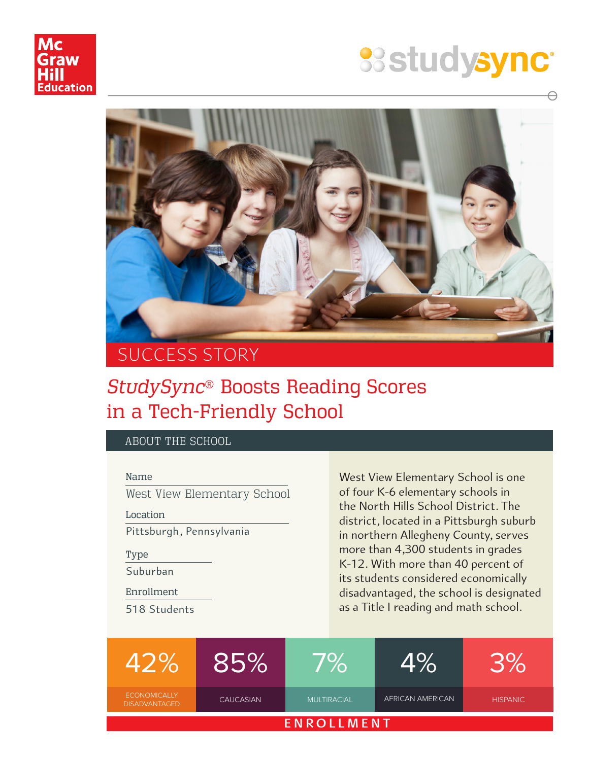

# **SS studysync®**



## SUCCESS STORY

### *StudySync*® Boosts Reading Scores in a Tech-Friendly School

#### ABOUT THE SCHOOL

Name

West View Elementary School

Location

Pittsburgh, Pennsylvania

Type

Suburban

Enrollment

518 Students

West View Elementary School is one of four K-6 elementary schools in the North Hills School District. The district, located in a Pittsburgh suburb in northern Allegheny County, serves more than 4,300 students in grades K-12. With more than 40 percent of its students considered economically disadvantaged, the school is designated as a Title I reading and math school.

|                                             | 85%              | <b>VO</b>          |                  |                 |
|---------------------------------------------|------------------|--------------------|------------------|-----------------|
| <b>ECONOMICALLY</b><br><b>DISADVANTAGED</b> | <b>CAUCASIAN</b> | <b>MULTIRACIAL</b> | AFRICAN AMERICAN | <b>HISPANIC</b> |
| <b>ENROLLMENT</b>                           |                  |                    |                  |                 |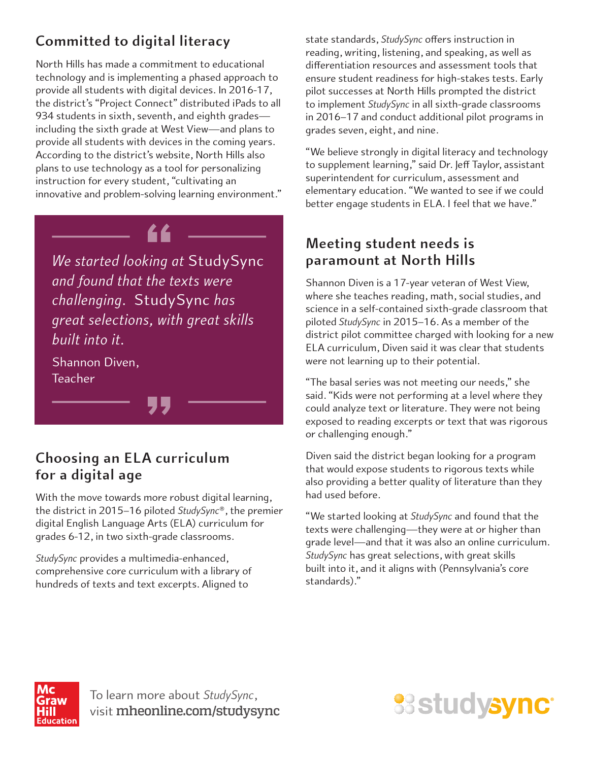#### **Committed to digital literacy**

North Hills has made a commitment to educational technology and is implementing a phased approach to provide all students with digital devices. In 2016-17, the district's "Project Connect" distributed iPads to all 934 students in sixth, seventh, and eighth grades including the sixth grade at West View—and plans to provide all students with devices in the coming years. According to the district's website, North Hills also plans to use technology as a tool for personalizing instruction for every student, "cultivating an innovative and problem-solving learning environment."



*We started looking at* StudySync *and found that the texts were challenging.* StudySync *has great selections, with great skills built into it.*

Shannon Diven, Teacher

#### **Choosing an ELA curriculum for a digital age**

With the move towards more robust digital learning, the district in 2015–16 piloted *StudySync*®, the premier digital English Language Arts (ELA) curriculum for grades 6-12, in two sixth-grade classrooms.

*StudySync* provides a multimedia-enhanced, comprehensive core curriculum with a library of hundreds of texts and text excerpts. Aligned to

state standards, *StudySync* offers instruction in reading, writing, listening, and speaking, as well as differentiation resources and assessment tools that ensure student readiness for high-stakes tests. Early pilot successes at North Hills prompted the district to implement *StudySync* in all sixth-grade classrooms in 2016–17 and conduct additional pilot programs in grades seven, eight, and nine.

"We believe strongly in digital literacy and technology to supplement learning," said Dr. Jeff Taylor, assistant superintendent for curriculum, assessment and elementary education. "We wanted to see if we could better engage students in ELA. I feel that we have."

#### **Meeting student needs is paramount at North Hills**

Shannon Diven is a 17-year veteran of West View, where she teaches reading, math, social studies, and science in a self-contained sixth-grade classroom that piloted *StudySync* in 2015–16. As a member of the district pilot committee charged with looking for a new ELA curriculum, Diven said it was clear that students were not learning up to their potential.

"The basal series was not meeting our needs," she said. "Kids were not performing at a level where they could analyze text or literature. They were not being exposed to reading excerpts or text that was rigorous or challenging enough."

Diven said the district began looking for a program that would expose students to rigorous texts while also providing a better quality of literature than they had used before.

"We started looking at *StudySync* and found that the texts were challenging—they were at or higher than grade level—and that it was also an online curriculum. *StudySync* has great selections, with great skills built into it, and it aligns with (Pennsylvania's core standards)."